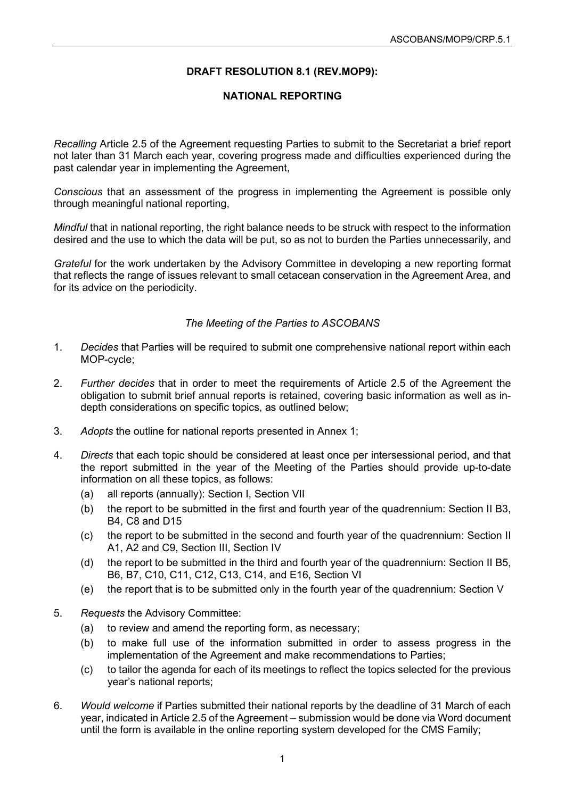# **DRAFT RESOLUTION 8.1 (REV.MOP9):**

# **NATIONAL REPORTING**

*Recalling* Article 2.5 of the Agreement requesting Parties to submit to the Secretariat a brief report not later than 31 March each year, covering progress made and difficulties experienced during the past calendar year in implementing the Agreement,

*Conscious* that an assessment of the progress in implementing the Agreement is possible only through meaningful national reporting,

*Mindful* that in national reporting, the right balance needs to be struck with respect to the information desired and the use to which the data will be put, so as not to burden the Parties unnecessarily, and

*Grateful* for the work undertaken by the Advisory Committee in developing a new reporting format that reflects the range of issues relevant to small cetacean conservation in the Agreement Area, and for its advice on the periodicity.

### *The Meeting of the Parties to ASCOBANS*

- 1. *Decides* that Parties will be required to submit one comprehensive national report within each MOP-cycle;
- 2. *Further decides* that in order to meet the requirements of Article 2.5 of the Agreement the obligation to submit brief annual reports is retained, covering basic information as well as indepth considerations on specific topics, as outlined below;
- 3. *Adopts* the outline for national reports presented in Annex 1;
- 4. *Directs* that each topic should be considered at least once per intersessional period, and that the report submitted in the year of the Meeting of the Parties should provide up-to-date information on all these topics, as follows:
	- (a) all reports (annually): Section I, Section VII
	- (b) the report to be submitted in the first and fourth year of the quadrennium: Section II B3, B4, C8 and D15
	- (c) the report to be submitted in the second and fourth year of the quadrennium: Section II A1, A2 and C9, Section III, Section IV
	- (d) the report to be submitted in the third and fourth year of the quadrennium: Section II B5, B6, B7, C10, C11, C12, C13, C14, and E16, Section VI
	- (e) the report that is to be submitted only in the fourth year of the quadrennium: Section V
- 5. *Requests* the Advisory Committee:
	- (a) to review and amend the reporting form, as necessary;
	- (b) to make full use of the information submitted in order to assess progress in the implementation of the Agreement and make recommendations to Parties;
	- (c) to tailor the agenda for each of its meetings to reflect the topics selected for the previous year's national reports;
- 6. *Would welcome* if Parties submitted their national reports by the deadline of 31 March of each year, indicated in Article 2.5 of the Agreement – submission would be done via Word document until the form is available in the online reporting system developed for the CMS Family;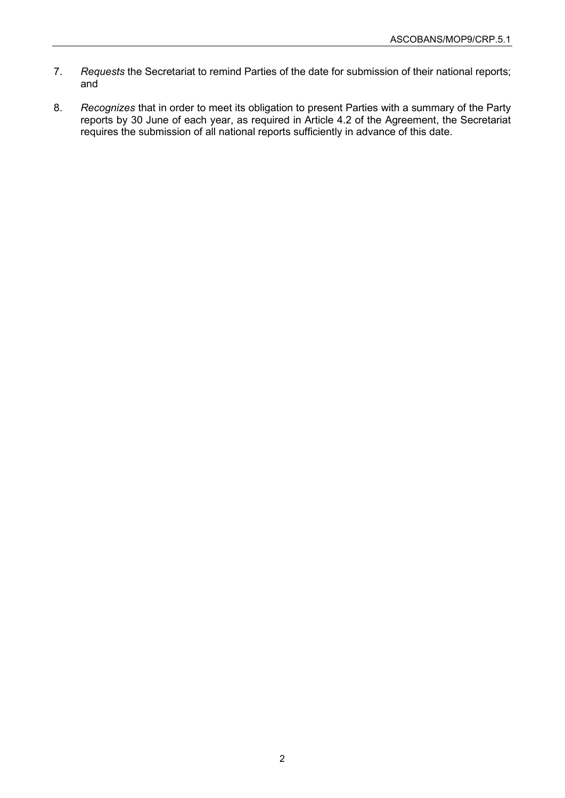- 7. *Requests* the Secretariat to remind Parties of the date for submission of their national reports; and
- 8. *Recognizes* that in order to meet its obligation to present Parties with a summary of the Party reports by 30 June of each year, as required in Article 4.2 of the Agreement, the Secretariat requires the submission of all national reports sufficiently in advance of this date.